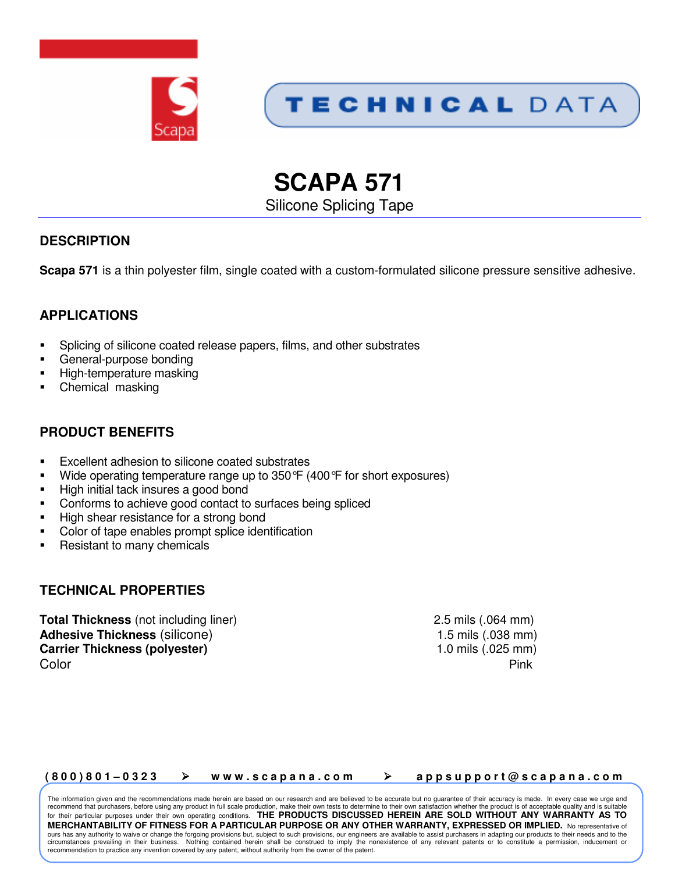



# **SCAPA 571**

Silicone Splicing Tape

# **DESCRIPTION**

**Scapa 571** is a thin polyester film, single coated with a custom-formulated silicone pressure sensitive adhesive.

## **APPLICATIONS**

- -Splicing of silicone coated release papers, films, and other substrates
- -General-purpose bonding
- -High-temperature masking
- -Chemical masking

## **PRODUCT BENEFITS**

- -Excellent adhesion to silicone coated substrates
- -Wide operating temperature range up to 350°F (400°F for short exposures)
- -High initial tack insures a good bond
- -Conforms to achieve good contact to surfaces being spliced
- -High shear resistance for a strong bond
- -Color of tape enables prompt splice identification
- -Resistant to many chemicals

#### **TECHNICAL PROPERTIES**

**Total Thickness** (not including liner) 2.5 mils (.064 mm) **Adhesive Thickness** (silicone) 1.5 mils (.038 mm) **Carrier Thickness (polyester)** 1.0 mils (.025 mm) **Color** Pink

#### (800)801-0323 → www.scapana.com → appsupport@scapana.com

The information given and the recommendations made herein are based on our research and are believed to be accurate but no guarantee of their accuracy is made. In every case we urge and recommend that purchasers, before using any product in full scale production, make their own tests to determine to their own satisfaction whether the product is of acceptable quality and is suitable for their particular purposes under their own operating conditions. **THE PRODUCTS DISCUSSED HEREIN ARE SOLD WITHOUT ANY WARRANTY AS TO MERCHANTABILITY OF FITNESS FOR A PARTICULAR PURPOSE OR ANY OTHER WARRANTY, EXPRESSED OR IMPLIED.** No representative of ours has any authority to waive or change the forgoing provisions but, subject to such provisions, our engineers are available to assist purchasers in adapting our products to their needs and to the circumstances prevailing in their business. Nothing contained herein shall be construed to imply the nonexistence of any relevant patents or to constitute a permission, inducement or recommendation to practice any invention covered by any patent, without authority from the owner of the patent.